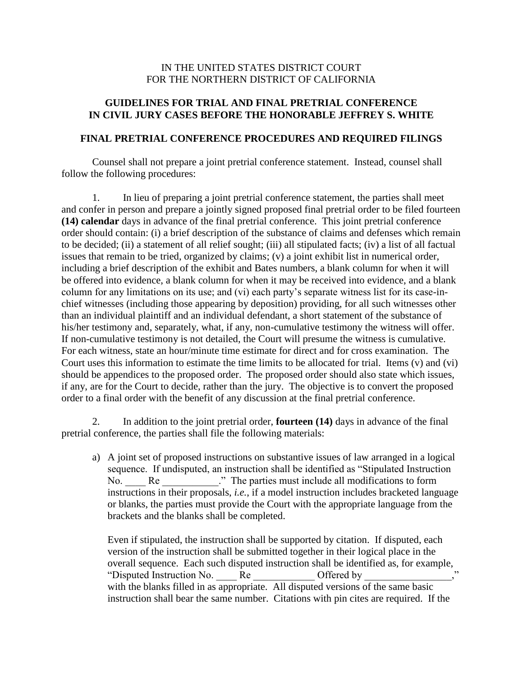## IN THE UNITED STATES DISTRICT COURT FOR THE NORTHERN DISTRICT OF CALIFORNIA

## **GUIDELINES FOR TRIAL AND FINAL PRETRIAL CONFERENCE IN CIVIL JURY CASES BEFORE THE HONORABLE JEFFREY S. WHITE**

#### **FINAL PRETRIAL CONFERENCE PROCEDURES AND REQUIRED FILINGS**

Counsel shall not prepare a joint pretrial conference statement. Instead, counsel shall follow the following procedures:

1. In lieu of preparing a joint pretrial conference statement, the parties shall meet and confer in person and prepare a jointly signed proposed final pretrial order to be filed fourteen **(14) calendar** days in advance of the final pretrial conference. This joint pretrial conference order should contain: (i) a brief description of the substance of claims and defenses which remain to be decided; (ii) a statement of all relief sought; (iii) all stipulated facts; (iv) a list of all factual issues that remain to be tried, organized by claims; (v) a joint exhibit list in numerical order, including a brief description of the exhibit and Bates numbers, a blank column for when it will be offered into evidence, a blank column for when it may be received into evidence, and a blank column for any limitations on its use; and (vi) each party's separate witness list for its case-inchief witnesses (including those appearing by deposition) providing, for all such witnesses other than an individual plaintiff and an individual defendant, a short statement of the substance of his/her testimony and, separately, what, if any, non-cumulative testimony the witness will offer. If non-cumulative testimony is not detailed, the Court will presume the witness is cumulative. For each witness, state an hour/minute time estimate for direct and for cross examination. The Court uses this information to estimate the time limits to be allocated for trial. Items (v) and (vi) should be appendices to the proposed order. The proposed order should also state which issues, if any, are for the Court to decide, rather than the jury. The objective is to convert the proposed order to a final order with the benefit of any discussion at the final pretrial conference.

2. In addition to the joint pretrial order, **fourteen (14)** days in advance of the final pretrial conference, the parties shall file the following materials:

a) A joint set of proposed instructions on substantive issues of law arranged in a logical sequence. If undisputed, an instruction shall be identified as "Stipulated Instruction No. Re The parties must include all modifications to form instructions in their proposals, *i.e.*, if a model instruction includes bracketed language or blanks, the parties must provide the Court with the appropriate language from the brackets and the blanks shall be completed.

Even if stipulated, the instruction shall be supported by citation. If disputed, each version of the instruction shall be submitted together in their logical place in the overall sequence. Each such disputed instruction shall be identified as, for example, "Disputed Instruction No. \_\_\_\_ Re \_\_\_\_\_\_\_\_\_\_\_ Offered by with the blanks filled in as appropriate. All disputed versions of the same basic instruction shall bear the same number. Citations with pin cites are required. If the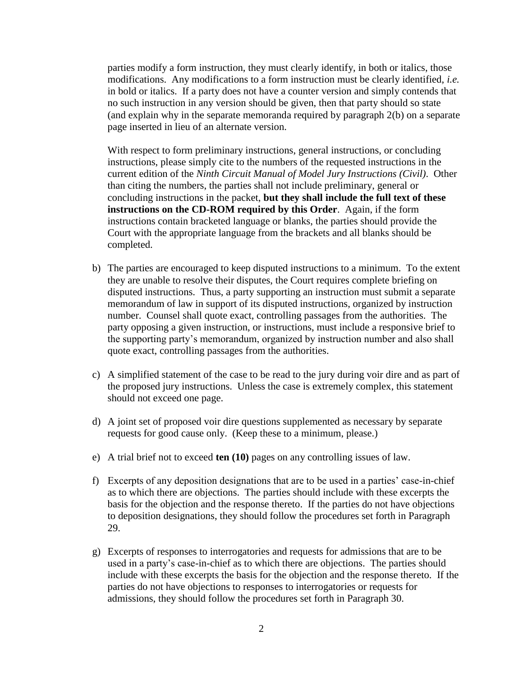parties modify a form instruction, they must clearly identify, in both or italics, those modifications. Any modifications to a form instruction must be clearly identified, *i.e.* in bold or italics. If a party does not have a counter version and simply contends that no such instruction in any version should be given, then that party should so state (and explain why in the separate memoranda required by paragraph 2(b) on a separate page inserted in lieu of an alternate version.

With respect to form preliminary instructions, general instructions, or concluding instructions, please simply cite to the numbers of the requested instructions in the current edition of the *Ninth Circuit Manual of Model Jury Instructions (Civil)*. Other than citing the numbers, the parties shall not include preliminary, general or concluding instructions in the packet, **but they shall include the full text of these instructions on the CD-ROM required by this Order**. Again, if the form instructions contain bracketed language or blanks, the parties should provide the Court with the appropriate language from the brackets and all blanks should be completed.

- b) The parties are encouraged to keep disputed instructions to a minimum. To the extent they are unable to resolve their disputes, the Court requires complete briefing on disputed instructions. Thus, a party supporting an instruction must submit a separate memorandum of law in support of its disputed instructions, organized by instruction number. Counsel shall quote exact, controlling passages from the authorities. The party opposing a given instruction, or instructions, must include a responsive brief to the supporting party's memorandum, organized by instruction number and also shall quote exact, controlling passages from the authorities.
- c) A simplified statement of the case to be read to the jury during voir dire and as part of the proposed jury instructions. Unless the case is extremely complex, this statement should not exceed one page.
- d) A joint set of proposed voir dire questions supplemented as necessary by separate requests for good cause only. (Keep these to a minimum, please.)
- e) A trial brief not to exceed **ten (10)** pages on any controlling issues of law.
- f) Excerpts of any deposition designations that are to be used in a parties' case-in-chief as to which there are objections. The parties should include with these excerpts the basis for the objection and the response thereto. If the parties do not have objections to deposition designations, they should follow the procedures set forth in Paragraph 29.
- g) Excerpts of responses to interrogatories and requests for admissions that are to be used in a party's case-in-chief as to which there are objections. The parties should include with these excerpts the basis for the objection and the response thereto. If the parties do not have objections to responses to interrogatories or requests for admissions, they should follow the procedures set forth in Paragraph 30.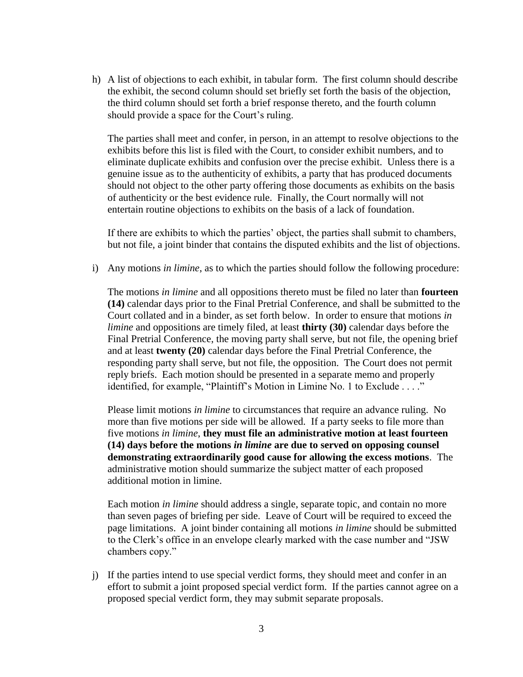h) A list of objections to each exhibit, in tabular form. The first column should describe the exhibit, the second column should set briefly set forth the basis of the objection, the third column should set forth a brief response thereto, and the fourth column should provide a space for the Court's ruling.

The parties shall meet and confer, in person, in an attempt to resolve objections to the exhibits before this list is filed with the Court, to consider exhibit numbers, and to eliminate duplicate exhibits and confusion over the precise exhibit. Unless there is a genuine issue as to the authenticity of exhibits, a party that has produced documents should not object to the other party offering those documents as exhibits on the basis of authenticity or the best evidence rule. Finally, the Court normally will not entertain routine objections to exhibits on the basis of a lack of foundation.

If there are exhibits to which the parties' object, the parties shall submit to chambers, but not file, a joint binder that contains the disputed exhibits and the list of objections.

i) Any motions *in limine*, as to which the parties should follow the following procedure:

The motions *in limine* and all oppositions thereto must be filed no later than **fourteen (14)** calendar days prior to the Final Pretrial Conference, and shall be submitted to the Court collated and in a binder, as set forth below. In order to ensure that motions *in limine* and oppositions are timely filed, at least **thirty (30)** calendar days before the Final Pretrial Conference, the moving party shall serve, but not file, the opening brief and at least **twenty (20)** calendar days before the Final Pretrial Conference, the responding party shall serve, but not file, the opposition. The Court does not permit reply briefs. Each motion should be presented in a separate memo and properly identified, for example, "Plaintiff's Motion in Limine No. 1 to Exclude . . . ."

Please limit motions *in limine* to circumstances that require an advance ruling. No more than five motions per side will be allowed. If a party seeks to file more than five motions *in limine*, **they must file an administrative motion at least fourteen (14) days before the motions** *in limine* **are due to served on opposing counsel demonstrating extraordinarily good cause for allowing the excess motions**. The administrative motion should summarize the subject matter of each proposed additional motion in limine.

Each motion *in limine* should address a single, separate topic, and contain no more than seven pages of briefing per side. Leave of Court will be required to exceed the page limitations. A joint binder containing all motions *in limine* should be submitted to the Clerk's office in an envelope clearly marked with the case number and "JSW chambers copy."

j) If the parties intend to use special verdict forms, they should meet and confer in an effort to submit a joint proposed special verdict form. If the parties cannot agree on a proposed special verdict form, they may submit separate proposals.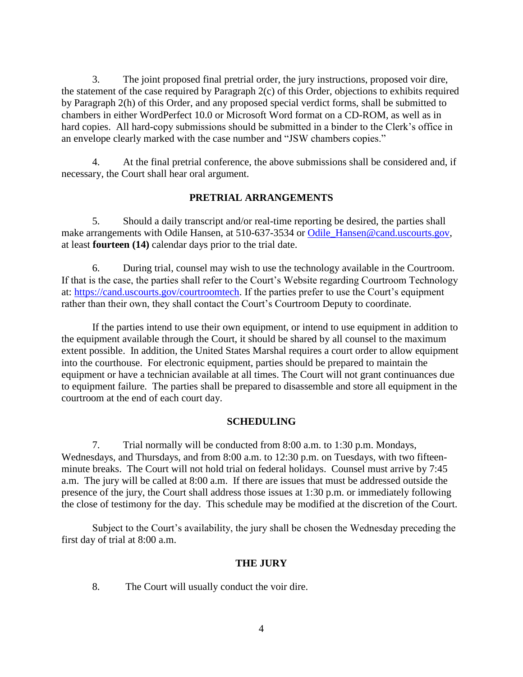3. The joint proposed final pretrial order, the jury instructions, proposed voir dire, the statement of the case required by Paragraph 2(c) of this Order, objections to exhibits required by Paragraph 2(h) of this Order, and any proposed special verdict forms, shall be submitted to chambers in either WordPerfect 10.0 or Microsoft Word format on a CD-ROM, as well as in hard copies. All hard-copy submissions should be submitted in a binder to the Clerk's office in an envelope clearly marked with the case number and "JSW chambers copies."

4. At the final pretrial conference, the above submissions shall be considered and, if necessary, the Court shall hear oral argument.

## **PRETRIAL ARRANGEMENTS**

5. Should a daily transcript and/or real-time reporting be desired, the parties shall make arrangements with Odile Hansen, at 510-637-3534 or [Odile\\_Hansen@cand.uscourts.gov,](mailto:Odile_Hansen@cand.uscourts.gov) at least **fourteen (14)** calendar days prior to the trial date.

6. During trial, counsel may wish to use the technology available in the Courtroom. If that is the case, the parties shall refer to the Court's Website regarding Courtroom Technology at: [https://cand.uscourts.gov/courtroomtech.](https://cand.uscourts.gov/courtroomtech) If the parties prefer to use the Court's equipment rather than their own, they shall contact the Court's Courtroom Deputy to coordinate.

If the parties intend to use their own equipment, or intend to use equipment in addition to the equipment available through the Court, it should be shared by all counsel to the maximum extent possible. In addition, the United States Marshal requires a court order to allow equipment into the courthouse. For electronic equipment, parties should be prepared to maintain the equipment or have a technician available at all times. The Court will not grant continuances due to equipment failure. The parties shall be prepared to disassemble and store all equipment in the courtroom at the end of each court day.

#### **SCHEDULING**

7. Trial normally will be conducted from 8:00 a.m. to 1:30 p.m. Mondays, Wednesdays, and Thursdays, and from 8:00 a.m. to 12:30 p.m. on Tuesdays, with two fifteenminute breaks. The Court will not hold trial on federal holidays. Counsel must arrive by 7:45 a.m. The jury will be called at 8:00 a.m. If there are issues that must be addressed outside the presence of the jury, the Court shall address those issues at 1:30 p.m. or immediately following the close of testimony for the day. This schedule may be modified at the discretion of the Court.

Subject to the Court's availability, the jury shall be chosen the Wednesday preceding the first day of trial at 8:00 a.m.

#### **THE JURY**

8. The Court will usually conduct the voir dire.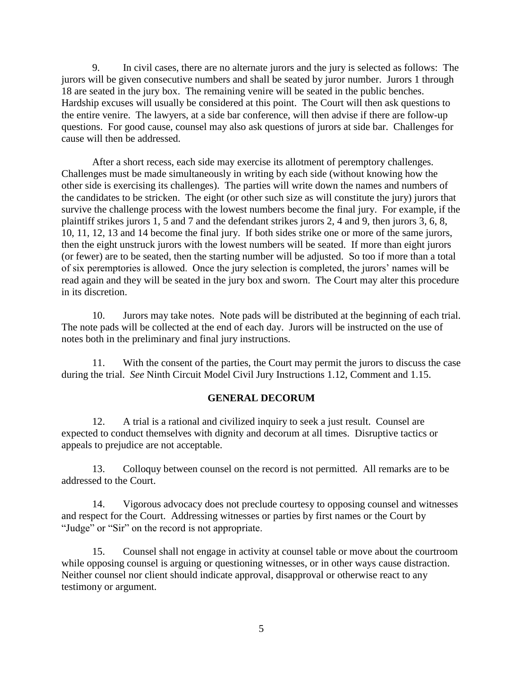9. In civil cases, there are no alternate jurors and the jury is selected as follows: The jurors will be given consecutive numbers and shall be seated by juror number. Jurors 1 through 18 are seated in the jury box. The remaining venire will be seated in the public benches. Hardship excuses will usually be considered at this point. The Court will then ask questions to the entire venire. The lawyers, at a side bar conference, will then advise if there are follow-up questions. For good cause, counsel may also ask questions of jurors at side bar. Challenges for cause will then be addressed.

After a short recess, each side may exercise its allotment of peremptory challenges. Challenges must be made simultaneously in writing by each side (without knowing how the other side is exercising its challenges). The parties will write down the names and numbers of the candidates to be stricken. The eight (or other such size as will constitute the jury) jurors that survive the challenge process with the lowest numbers become the final jury. For example, if the plaintiff strikes jurors 1, 5 and 7 and the defendant strikes jurors 2, 4 and 9, then jurors 3, 6, 8, 10, 11, 12, 13 and 14 become the final jury. If both sides strike one or more of the same jurors, then the eight unstruck jurors with the lowest numbers will be seated. If more than eight jurors (or fewer) are to be seated, then the starting number will be adjusted. So too if more than a total of six peremptories is allowed. Once the jury selection is completed, the jurors' names will be read again and they will be seated in the jury box and sworn. The Court may alter this procedure in its discretion.

10. Jurors may take notes. Note pads will be distributed at the beginning of each trial. The note pads will be collected at the end of each day. Jurors will be instructed on the use of notes both in the preliminary and final jury instructions.

11. With the consent of the parties, the Court may permit the jurors to discuss the case during the trial. *See* Ninth Circuit Model Civil Jury Instructions 1.12, Comment and 1.15.

## **GENERAL DECORUM**

12. A trial is a rational and civilized inquiry to seek a just result. Counsel are expected to conduct themselves with dignity and decorum at all times. Disruptive tactics or appeals to prejudice are not acceptable.

13. Colloquy between counsel on the record is not permitted. All remarks are to be addressed to the Court.

14. Vigorous advocacy does not preclude courtesy to opposing counsel and witnesses and respect for the Court. Addressing witnesses or parties by first names or the Court by "Judge" or "Sir" on the record is not appropriate.

15. Counsel shall not engage in activity at counsel table or move about the courtroom while opposing counsel is arguing or questioning witnesses, or in other ways cause distraction. Neither counsel nor client should indicate approval, disapproval or otherwise react to any testimony or argument.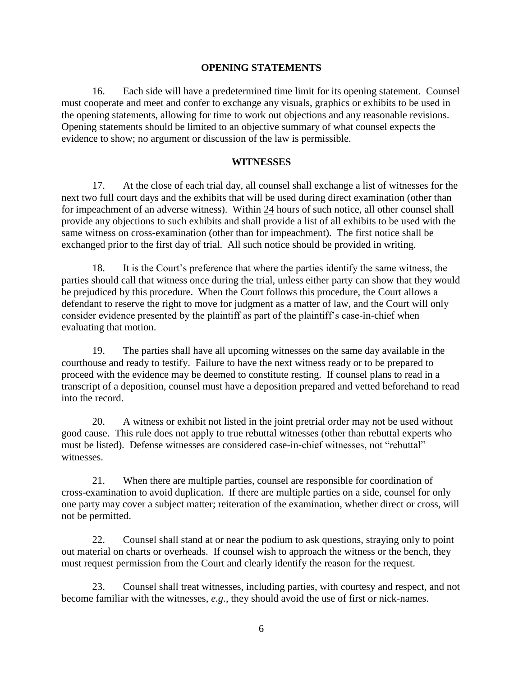#### **OPENING STATEMENTS**

16. Each side will have a predetermined time limit for its opening statement. Counsel must cooperate and meet and confer to exchange any visuals, graphics or exhibits to be used in the opening statements, allowing for time to work out objections and any reasonable revisions. Opening statements should be limited to an objective summary of what counsel expects the evidence to show; no argument or discussion of the law is permissible.

## **WITNESSES**

17. At the close of each trial day, all counsel shall exchange a list of witnesses for the next two full court days and the exhibits that will be used during direct examination (other than for impeachment of an adverse witness). Within 24 hours of such notice, all other counsel shall provide any objections to such exhibits and shall provide a list of all exhibits to be used with the same witness on cross-examination (other than for impeachment). The first notice shall be exchanged prior to the first day of trial. All such notice should be provided in writing.

18. It is the Court's preference that where the parties identify the same witness, the parties should call that witness once during the trial, unless either party can show that they would be prejudiced by this procedure. When the Court follows this procedure, the Court allows a defendant to reserve the right to move for judgment as a matter of law, and the Court will only consider evidence presented by the plaintiff as part of the plaintiff's case-in-chief when evaluating that motion.

19. The parties shall have all upcoming witnesses on the same day available in the courthouse and ready to testify. Failure to have the next witness ready or to be prepared to proceed with the evidence may be deemed to constitute resting. If counsel plans to read in a transcript of a deposition, counsel must have a deposition prepared and vetted beforehand to read into the record.

20. A witness or exhibit not listed in the joint pretrial order may not be used without good cause. This rule does not apply to true rebuttal witnesses (other than rebuttal experts who must be listed). Defense witnesses are considered case-in-chief witnesses, not "rebuttal" witnesses.

21. When there are multiple parties, counsel are responsible for coordination of cross-examination to avoid duplication. If there are multiple parties on a side, counsel for only one party may cover a subject matter; reiteration of the examination, whether direct or cross, will not be permitted.

22. Counsel shall stand at or near the podium to ask questions, straying only to point out material on charts or overheads. If counsel wish to approach the witness or the bench, they must request permission from the Court and clearly identify the reason for the request.

23. Counsel shall treat witnesses, including parties, with courtesy and respect, and not become familiar with the witnesses, *e.g.*, they should avoid the use of first or nick-names.

6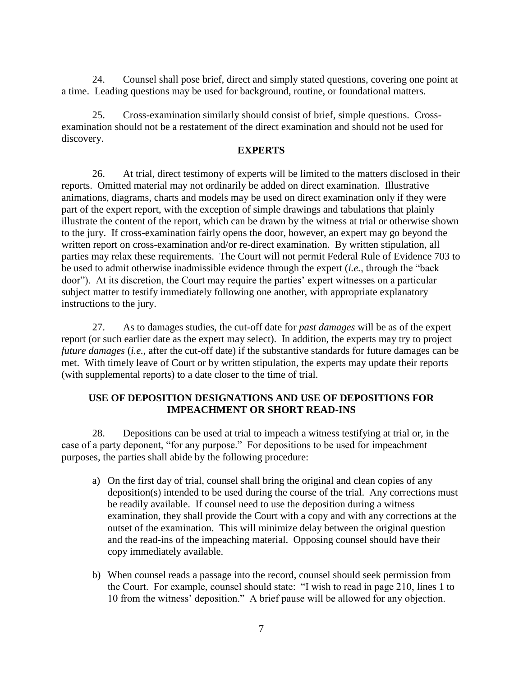24. Counsel shall pose brief, direct and simply stated questions, covering one point at a time. Leading questions may be used for background, routine, or foundational matters.

25. Cross-examination similarly should consist of brief, simple questions. Crossexamination should not be a restatement of the direct examination and should not be used for discovery.

## **EXPERTS**

26. At trial, direct testimony of experts will be limited to the matters disclosed in their reports. Omitted material may not ordinarily be added on direct examination. Illustrative animations, diagrams, charts and models may be used on direct examination only if they were part of the expert report, with the exception of simple drawings and tabulations that plainly illustrate the content of the report, which can be drawn by the witness at trial or otherwise shown to the jury. If cross-examination fairly opens the door, however, an expert may go beyond the written report on cross-examination and/or re-direct examination. By written stipulation, all parties may relax these requirements. The Court will not permit Federal Rule of Evidence 703 to be used to admit otherwise inadmissible evidence through the expert (*i.e.*, through the "back door"). At its discretion, the Court may require the parties' expert witnesses on a particular subject matter to testify immediately following one another, with appropriate explanatory instructions to the jury.

27. As to damages studies, the cut-off date for *past damages* will be as of the expert report (or such earlier date as the expert may select). In addition, the experts may try to project *future damages* (*i.e.*, after the cut-off date) if the substantive standards for future damages can be met. With timely leave of Court or by written stipulation, the experts may update their reports (with supplemental reports) to a date closer to the time of trial.

## **USE OF DEPOSITION DESIGNATIONS AND USE OF DEPOSITIONS FOR IMPEACHMENT OR SHORT READ-INS**

28. Depositions can be used at trial to impeach a witness testifying at trial or, in the case of a party deponent, "for any purpose." For depositions to be used for impeachment purposes, the parties shall abide by the following procedure:

- a) On the first day of trial, counsel shall bring the original and clean copies of any deposition(s) intended to be used during the course of the trial. Any corrections must be readily available. If counsel need to use the deposition during a witness examination, they shall provide the Court with a copy and with any corrections at the outset of the examination. This will minimize delay between the original question and the read-ins of the impeaching material. Opposing counsel should have their copy immediately available.
- b) When counsel reads a passage into the record, counsel should seek permission from the Court. For example, counsel should state: "I wish to read in page 210, lines 1 to 10 from the witness' deposition." A brief pause will be allowed for any objection.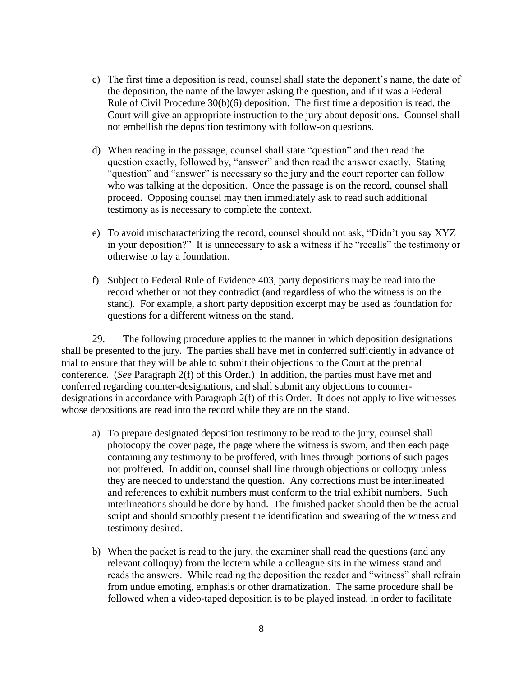- c) The first time a deposition is read, counsel shall state the deponent's name, the date of the deposition, the name of the lawyer asking the question, and if it was a Federal Rule of Civil Procedure 30(b)(6) deposition. The first time a deposition is read, the Court will give an appropriate instruction to the jury about depositions. Counsel shall not embellish the deposition testimony with follow-on questions.
- d) When reading in the passage, counsel shall state "question" and then read the question exactly, followed by, "answer" and then read the answer exactly. Stating "question" and "answer" is necessary so the jury and the court reporter can follow who was talking at the deposition. Once the passage is on the record, counsel shall proceed. Opposing counsel may then immediately ask to read such additional testimony as is necessary to complete the context.
- e) To avoid mischaracterizing the record, counsel should not ask, "Didn't you say XYZ in your deposition?" It is unnecessary to ask a witness if he "recalls" the testimony or otherwise to lay a foundation.
- f) Subject to Federal Rule of Evidence 403, party depositions may be read into the record whether or not they contradict (and regardless of who the witness is on the stand). For example, a short party deposition excerpt may be used as foundation for questions for a different witness on the stand.

29. The following procedure applies to the manner in which deposition designations shall be presented to the jury. The parties shall have met in conferred sufficiently in advance of trial to ensure that they will be able to submit their objections to the Court at the pretrial conference. (*See* Paragraph 2(f) of this Order.) In addition, the parties must have met and conferred regarding counter-designations, and shall submit any objections to counterdesignations in accordance with Paragraph 2(f) of this Order. It does not apply to live witnesses whose depositions are read into the record while they are on the stand.

- a) To prepare designated deposition testimony to be read to the jury, counsel shall photocopy the cover page, the page where the witness is sworn, and then each page containing any testimony to be proffered, with lines through portions of such pages not proffered. In addition, counsel shall line through objections or colloquy unless they are needed to understand the question. Any corrections must be interlineated and references to exhibit numbers must conform to the trial exhibit numbers. Such interlineations should be done by hand. The finished packet should then be the actual script and should smoothly present the identification and swearing of the witness and testimony desired.
- b) When the packet is read to the jury, the examiner shall read the questions (and any relevant colloquy) from the lectern while a colleague sits in the witness stand and reads the answers. While reading the deposition the reader and "witness" shall refrain from undue emoting, emphasis or other dramatization. The same procedure shall be followed when a video-taped deposition is to be played instead, in order to facilitate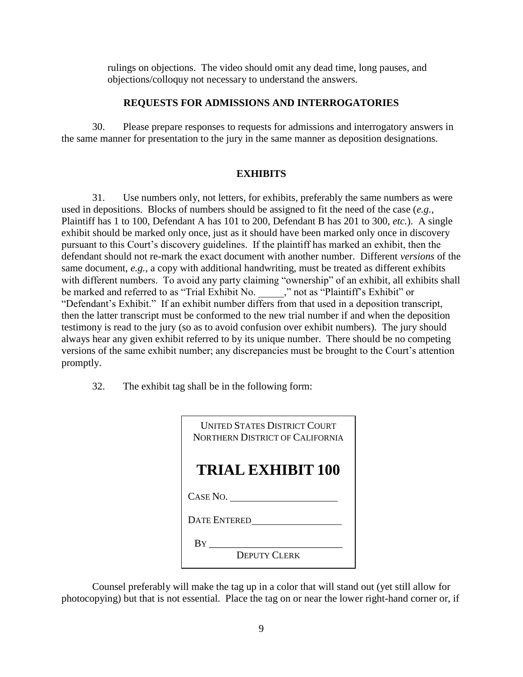rulings on objections. The video should omit any dead time, long pauses, and objections/colloquy not necessary to understand the answers.

### **REQUESTS FOR ADMISSIONS AND INTERROGATORIES**

30. Please prepare responses to requests for admissions and interrogatory answers in the same manner for presentation to the jury in the same manner as deposition designations.

### **EXHIBITS**

31. Use numbers only, not letters, for exhibits, preferably the same numbers as were used in depositions. Blocks of numbers should be assigned to fit the need of the case (*e.g.*, Plaintiff has 1 to 100, Defendant A has 101 to 200, Defendant B has 201 to 300, *etc.*). A single exhibit should be marked only once, just as it should have been marked only once in discovery pursuant to this Court's discovery guidelines. If the plaintiff has marked an exhibit, then the defendant should not re-mark the exact document with another number. Different *versions* of the same document, *e.g.*, a copy with additional handwriting, must be treated as different exhibits with different numbers. To avoid any party claiming "ownership" of an exhibit, all exhibits shall be marked and referred to as "Trial Exhibit No. \_\_\_\_\_," not as "Plaintiff's Exhibit" or "Defendant's Exhibit." If an exhibit number differs from that used in a deposition transcript, then the latter transcript must be conformed to the new trial number if and when the deposition testimony is read to the jury (so as to avoid confusion over exhibit numbers). The jury should always hear any given exhibit referred to by its unique number. There should be no competing versions of the same exhibit number; any discrepancies must be brought to the Court's attention promptly.

32. The exhibit tag shall be in the following form:

| <b>UNITED STATES DISTRICT COURT</b><br><b>NORTHERN DISTRICT OF CALIFORNIA</b> |
|-------------------------------------------------------------------------------|
| <b>TRIAL EXHIBIT 100</b>                                                      |
| CASE NO.                                                                      |
| <b>DATE ENTERED</b>                                                           |
| By<br>DEPUTY CLERK                                                            |

Counsel preferably will make the tag up in a color that will stand out (yet still allow for photocopying) but that is not essential. Place the tag on or near the lower right-hand corner or, if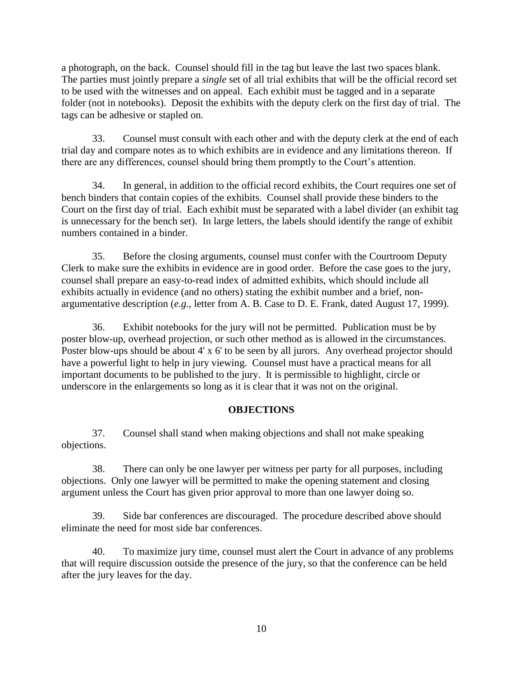a photograph, on the back. Counsel should fill in the tag but leave the last two spaces blank. The parties must jointly prepare a *single* set of all trial exhibits that will be the official record set to be used with the witnesses and on appeal. Each exhibit must be tagged and in a separate folder (not in notebooks). Deposit the exhibits with the deputy clerk on the first day of trial. The tags can be adhesive or stapled on.

33. Counsel must consult with each other and with the deputy clerk at the end of each trial day and compare notes as to which exhibits are in evidence and any limitations thereon. If there are any differences, counsel should bring them promptly to the Court's attention.

34. In general, in addition to the official record exhibits, the Court requires one set of bench binders that contain copies of the exhibits. Counsel shall provide these binders to the Court on the first day of trial. Each exhibit must be separated with a label divider (an exhibit tag is unnecessary for the bench set). In large letters, the labels should identify the range of exhibit numbers contained in a binder.

35. Before the closing arguments, counsel must confer with the Courtroom Deputy Clerk to make sure the exhibits in evidence are in good order. Before the case goes to the jury, counsel shall prepare an easy-to-read index of admitted exhibits, which should include all exhibits actually in evidence (and no others) stating the exhibit number and a brief, nonargumentative description (*e.g.*, letter from A. B. Case to D. E. Frank, dated August 17, 1999).

36. Exhibit notebooks for the jury will not be permitted. Publication must be by poster blow-up, overhead projection, or such other method as is allowed in the circumstances. Poster blow-ups should be about 4' x 6' to be seen by all jurors. Any overhead projector should have a powerful light to help in jury viewing. Counsel must have a practical means for all important documents to be published to the jury. It is permissible to highlight, circle or underscore in the enlargements so long as it is clear that it was not on the original.

# **OBJECTIONS**

37. Counsel shall stand when making objections and shall not make speaking objections.

38. There can only be one lawyer per witness per party for all purposes, including objections. Only one lawyer will be permitted to make the opening statement and closing argument unless the Court has given prior approval to more than one lawyer doing so.

39. Side bar conferences are discouraged. The procedure described above should eliminate the need for most side bar conferences.

40. To maximize jury time, counsel must alert the Court in advance of any problems that will require discussion outside the presence of the jury, so that the conference can be held after the jury leaves for the day.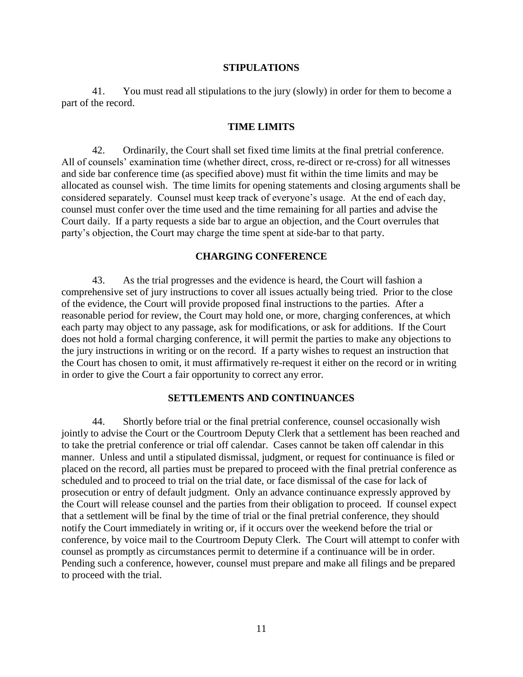#### **STIPULATIONS**

41. You must read all stipulations to the jury (slowly) in order for them to become a part of the record.

### **TIME LIMITS**

42. Ordinarily, the Court shall set fixed time limits at the final pretrial conference. All of counsels' examination time (whether direct, cross, re-direct or re-cross) for all witnesses and side bar conference time (as specified above) must fit within the time limits and may be allocated as counsel wish. The time limits for opening statements and closing arguments shall be considered separately. Counsel must keep track of everyone's usage. At the end of each day, counsel must confer over the time used and the time remaining for all parties and advise the Court daily. If a party requests a side bar to argue an objection, and the Court overrules that party's objection, the Court may charge the time spent at side-bar to that party.

#### **CHARGING CONFERENCE**

43. As the trial progresses and the evidence is heard, the Court will fashion a comprehensive set of jury instructions to cover all issues actually being tried. Prior to the close of the evidence, the Court will provide proposed final instructions to the parties. After a reasonable period for review, the Court may hold one, or more, charging conferences, at which each party may object to any passage, ask for modifications, or ask for additions. If the Court does not hold a formal charging conference, it will permit the parties to make any objections to the jury instructions in writing or on the record. If a party wishes to request an instruction that the Court has chosen to omit, it must affirmatively re-request it either on the record or in writing in order to give the Court a fair opportunity to correct any error.

#### **SETTLEMENTS AND CONTINUANCES**

44. Shortly before trial or the final pretrial conference, counsel occasionally wish jointly to advise the Court or the Courtroom Deputy Clerk that a settlement has been reached and to take the pretrial conference or trial off calendar. Cases cannot be taken off calendar in this manner. Unless and until a stipulated dismissal, judgment, or request for continuance is filed or placed on the record, all parties must be prepared to proceed with the final pretrial conference as scheduled and to proceed to trial on the trial date, or face dismissal of the case for lack of prosecution or entry of default judgment. Only an advance continuance expressly approved by the Court will release counsel and the parties from their obligation to proceed. If counsel expect that a settlement will be final by the time of trial or the final pretrial conference, they should notify the Court immediately in writing or, if it occurs over the weekend before the trial or conference, by voice mail to the Courtroom Deputy Clerk. The Court will attempt to confer with counsel as promptly as circumstances permit to determine if a continuance will be in order. Pending such a conference, however, counsel must prepare and make all filings and be prepared to proceed with the trial.